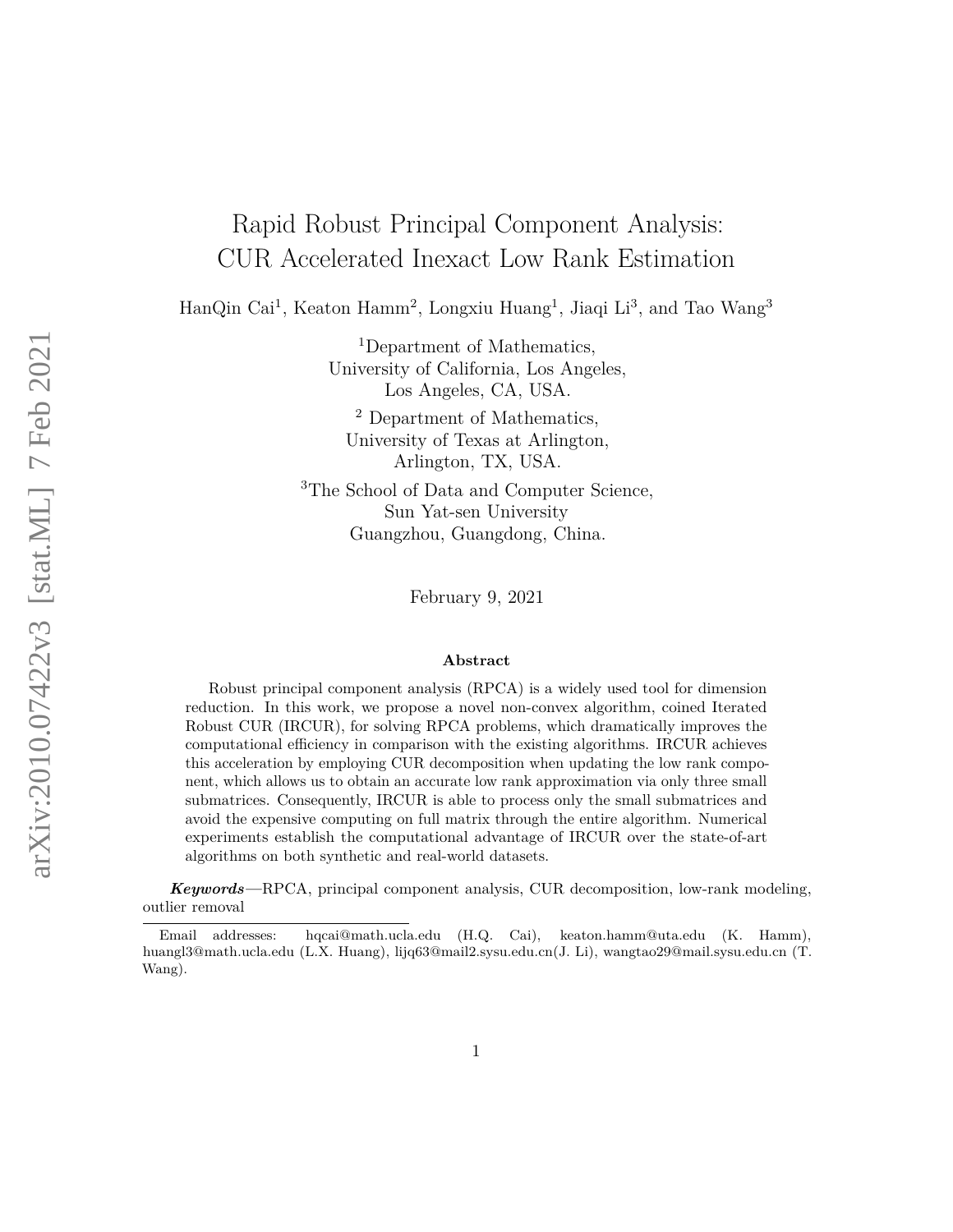# <span id="page-0-0"></span>Rapid Robust Principal Component Analysis: CUR Accelerated Inexact Low Rank Estimation

HanQin Cai<sup>1</sup>, Keaton Hamm<sup>2</sup>, Longxiu Huang<sup>1</sup>, Jiaqi Li<sup>3</sup>, and Tao Wang<sup>3</sup>

<sup>1</sup>Department of Mathematics, University of California, Los Angeles, Los Angeles, CA, USA.

<sup>2</sup> Department of Mathematics, University of Texas at Arlington, Arlington, TX, USA.

<sup>3</sup>The School of Data and Computer Science, Sun Yat-sen University Guangzhou, Guangdong, China.

February 9, 2021

#### **Abstract**

Robust principal component analysis (RPCA) is a widely used tool for dimension reduction. In this work, we propose a novel non-convex algorithm, coined Iterated Robust CUR (IRCUR), for solving RPCA problems, which dramatically improves the computational efficiency in comparison with the existing algorithms. IRCUR achieves this acceleration by employing CUR decomposition when updating the low rank component, which allows us to obtain an accurate low rank approximation via only three small submatrices. Consequently, IRCUR is able to process only the small submatrices and avoid the expensive computing on full matrix through the entire algorithm. Numerical experiments establish the computational advantage of IRCUR over the state-of-art algorithms on both synthetic and real-world datasets.

*Keywords—*RPCA, principal component analysis, CUR decomposition, low-rank modeling, outlier removal

Email addresses: hqcai@math.ucla.edu (H.Q. Cai), keaton.hamm@uta.edu (K. Hamm), huangl3@math.ucla.edu (L.X. Huang), lijq63@mail2.sysu.edu.cn(J. Li), wangtao29@mail.sysu.edu.cn (T. Wang).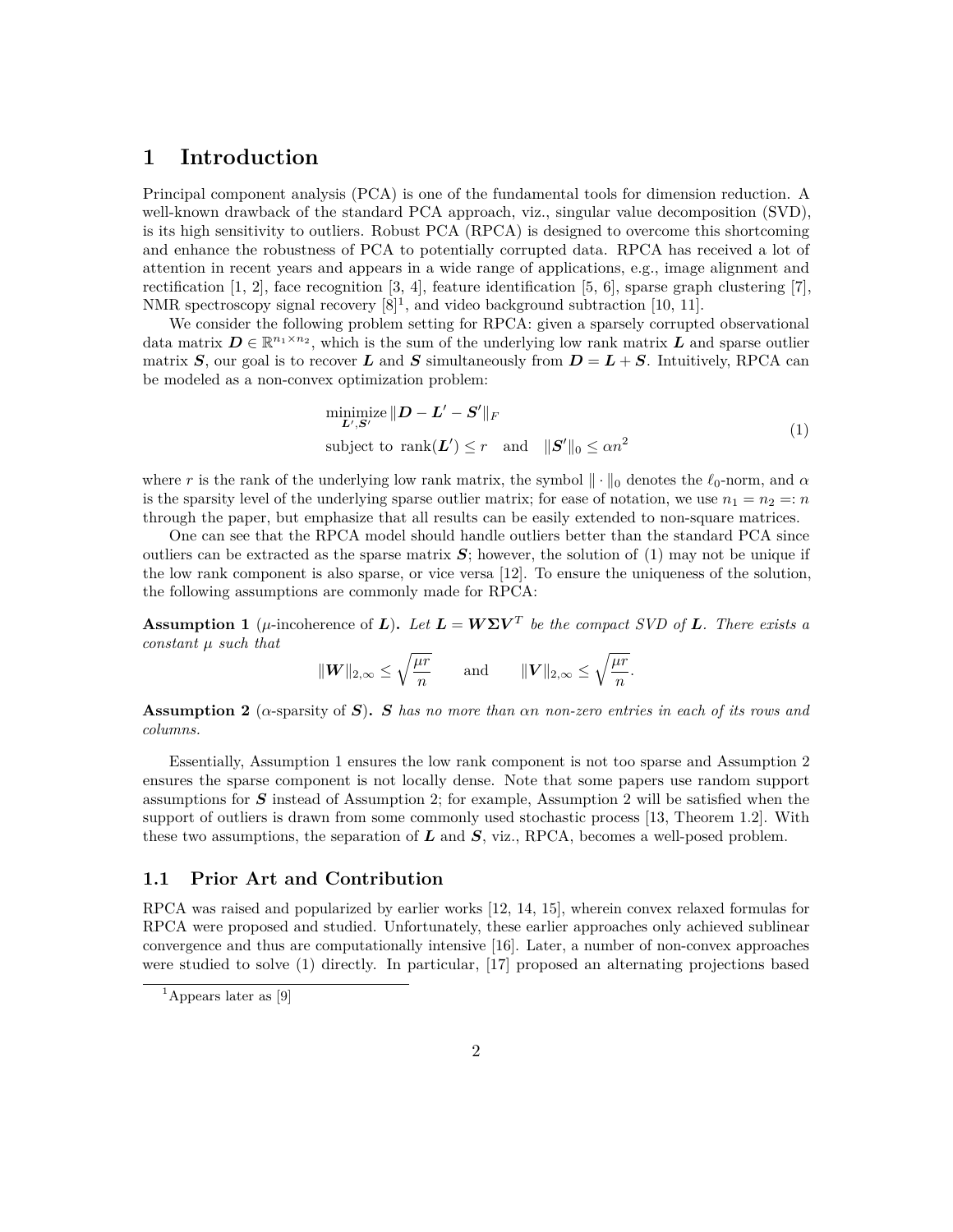## **1 Introduction**

Principal component analysis (PCA) is one of the fundamental tools for dimension reduction. A well-known drawback of the standard PCA approach, viz., singular value decomposition (SVD), is its high sensitivity to outliers. Robust PCA (RPCA) is designed to overcome this shortcoming and enhance the robustness of PCA to potentially corrupted data. RPCA has received a lot of attention in recent years and appears in a wide range of applications, e.g., image alignment and rectification  $[1, 2]$  $[1, 2]$  $[1, 2]$ , face recognition  $[3, 4]$  $[3, 4]$  $[3, 4]$ , feature identification  $[5, 6]$  $[5, 6]$  $[5, 6]$ , sparse graph clustering  $[7]$ . NMR spectroscopy signal recovery  $[8]^1$  $[8]^1$  $[8]^1$ , and video background subtraction [\[10,](#page-10-1) [11\]](#page-10-2).

We consider the following problem setting for RPCA: given a sparsely corrupted observational data matrix  $D \in \mathbb{R}^{n_1 \times n_2}$ , which is the sum of the underlying low rank matrix  $L$  and sparse outlier matrix *S*, our goal is to recover *L* and *S* simultaneously from  $D = L + S$ . Intuitively, RPCA can be modeled as a non-convex optimization problem:

<span id="page-1-0"></span>
$$
\begin{aligned}\n\min_{\mathbf{L}',\mathbf{S}'} &||\mathbf{D} - \mathbf{L}' - \mathbf{S}'||_F \\
\text{subject to } & \text{rank}(\mathbf{L}') \le r \quad \text{and} \quad ||\mathbf{S}'||_0 \le \alpha n^2\n\end{aligned} \tag{1}
$$

where *r* is the rank of the underlying low rank matrix, the symbol  $\|\cdot\|_0$  denotes the  $\ell_0$ -norm, and  $\alpha$ is the sparsity level of the underlying sparse outlier matrix; for ease of notation, we use  $n_1 = n_2 = n$ through the paper, but emphasize that all results can be easily extended to non-square matrices.

One can see that the RPCA model should handle outliers better than the standard PCA since outliers can be extracted as the sparse matrix  $S$ ; however, the solution of  $(1)$  may not be unique if the low rank component is also sparse, or vice versa [\[12\]](#page-10-3). To ensure the uniqueness of the solution, the following assumptions are commonly made for RPCA:

<span id="page-1-1"></span>**Assumption 1** ( $\mu$ -incoherence of *L*). Let  $\mathbf{L} = \mathbf{W} \Sigma \mathbf{V}^T$  be the compact SVD of **L**. There exists a *constant µ such that*

$$
\|\boldsymbol{W}\|_{2,\infty} \leq \sqrt{\frac{\mu r}{n}} \quad \text{and} \quad \|\boldsymbol{V}\|_{2,\infty} \leq \sqrt{\frac{\mu r}{n}}.
$$

<span id="page-1-2"></span>**Assumption 2** (*α*-sparsity of *S*)**.** *S has no more than αn non-zero entries in each of its rows and columns.*

Essentially, Assumption [1](#page-1-1) ensures the low rank component is not too sparse and Assumption [2](#page-1-2) ensures the sparse component is not locally dense. Note that some papers use random support assumptions for *S* instead of Assumption [2;](#page-1-2) for example, Assumption [2](#page-1-2) will be satisfied when the support of outliers is drawn from some commonly used stochastic process [\[13,](#page-10-4) Theorem 1.2]. With these two assumptions, the separation of *L* and *S*, viz., RPCA, becomes a well-posed problem.

#### **1.1 Prior Art and Contribution**

RPCA was raised and popularized by earlier works [\[12,](#page-10-3) [14,](#page-10-5) [15\]](#page-10-6), wherein convex relaxed formulas for RPCA were proposed and studied. Unfortunately, these earlier approaches only achieved sublinear convergence and thus are computationally intensive [\[16\]](#page-10-7). Later, a number of non-convex approaches were studied to solve [\(1\)](#page-1-0) directly. In particular, [\[17\]](#page-10-8) proposed an alternating projections based

<sup>&</sup>lt;sup>1</sup>Appears later as [\[9\]](#page-10-9)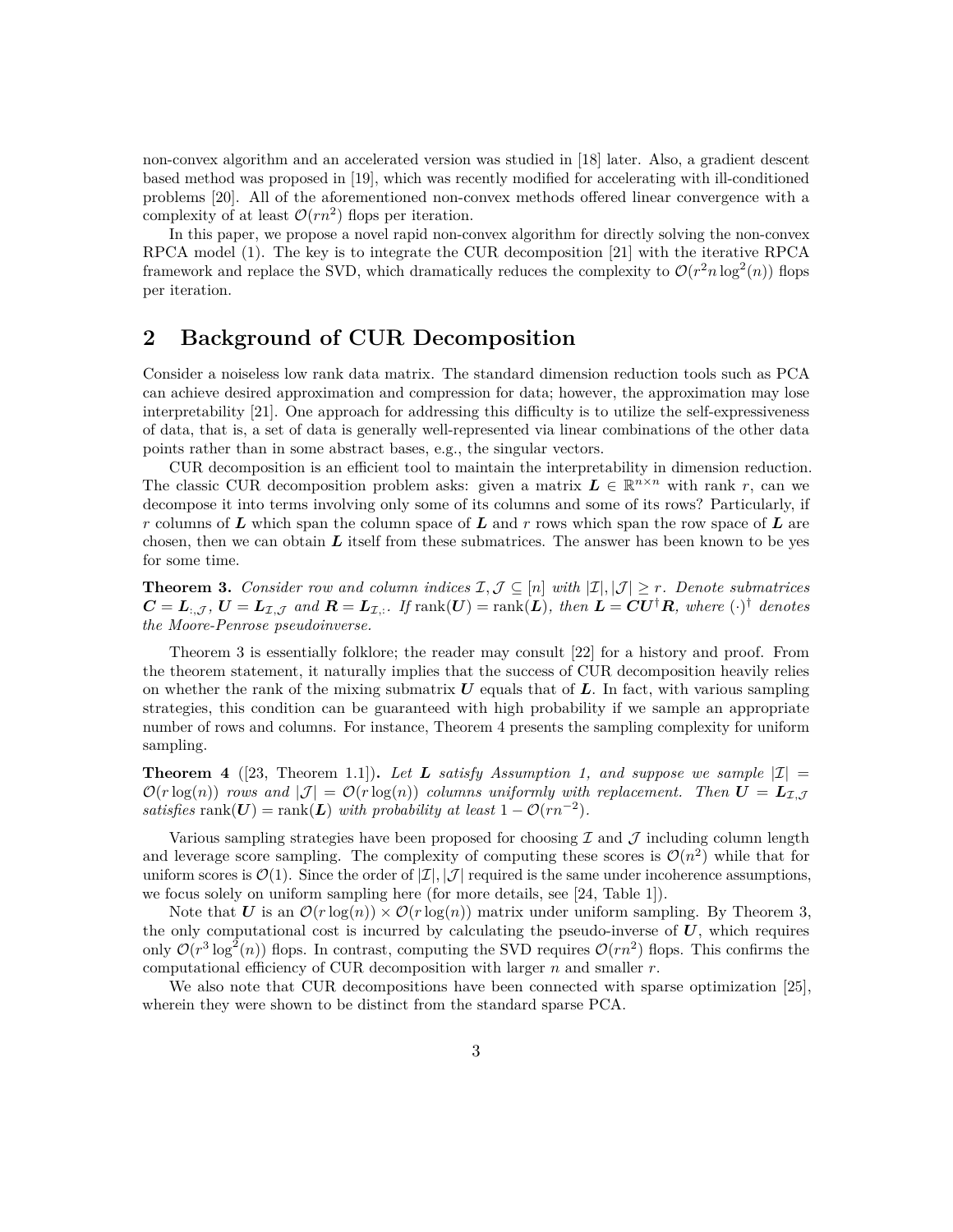non-convex algorithm and an accelerated version was studied in [\[18\]](#page-10-10) later. Also, a gradient descent based method was proposed in [\[19\]](#page-10-11), which was recently modified for accelerating with ill-conditioned problems [\[20\]](#page-10-12). All of the aforementioned non-convex methods offered linear convergence with a complexity of at least  $\mathcal{O}(rn^2)$  flops per iteration.

In this paper, we propose a novel rapid non-convex algorithm for directly solving the non-convex RPCA model [\(1\)](#page-1-0). The key is to integrate the CUR decomposition [\[21\]](#page-10-13) with the iterative RPCA framework and replace the SVD, which dramatically reduces the complexity to  $\mathcal{O}(r^2 n \log^2(n))$  flops per iteration.

## **2 Background of CUR Decomposition**

Consider a noiseless low rank data matrix. The standard dimension reduction tools such as PCA can achieve desired approximation and compression for data; however, the approximation may lose interpretability [\[21\]](#page-10-13). One approach for addressing this difficulty is to utilize the self-expressiveness of data, that is, a set of data is generally well-represented via linear combinations of the other data points rather than in some abstract bases, e.g., the singular vectors.

CUR decomposition is an efficient tool to maintain the interpretability in dimension reduction. The classic CUR decomposition problem asks: given a matrix  $L \in \mathbb{R}^{n \times n}$  with rank *r*, can we decompose it into terms involving only some of its columns and some of its rows? Particularly, if *r* columns of *L* which span the column space of *L* and *r* rows which span the row space of *L* are chosen, then we can obtain  $L$  itself from these submatrices. The answer has been known to be yes for some time.

<span id="page-2-0"></span>**Theorem 3.** *Consider row and column indices*  $\mathcal{I}, \mathcal{J} \subseteq [n]$  *with*  $|\mathcal{I}|, |\mathcal{J}| \geq r$ *. Denote submatrices*  $C = L_{:, \mathcal{J}}$ ,  $U = L_{\mathcal{I}, \mathcal{J}}$  and  $R = L_{\mathcal{I}, :}$ . If  $\text{rank}(U) = \text{rank}(L)$ , then  $L = CU^{\dagger}R$ , where  $(\cdot)^{\dagger}$  denotes *the Moore-Penrose pseudoinverse.*

Theorem [3](#page-2-0) is essentially folklore; the reader may consult [\[22\]](#page-10-14) for a history and proof. From the theorem statement, it naturally implies that the success of CUR decomposition heavily relies on whether the rank of the mixing submatrix  $\boldsymbol{U}$  equals that of  $\boldsymbol{L}$ . In fact, with various sampling strategies, this condition can be guaranteed with high probability if we sample an appropriate number of rows and columns. For instance, Theorem [4](#page-2-1) presents the sampling complexity for uniform sampling.

<span id="page-2-1"></span>**Theorem 4** ([\[23,](#page-11-0) Theorem 1.1]). Let **L** satisfy Assumption [1,](#page-1-1) and suppose we sample  $|\mathcal{I}| =$  $\mathcal{O}(r \log(n))$  *rows and*  $|\mathcal{J}| = \mathcal{O}(r \log(n))$  *columns uniformly with replacement. Then*  $\mathbf{U} = \mathbf{L}_{\mathcal{I} \cup \mathcal{I}}$ *satisfies* rank $(U)$  = rank $(L)$  *with probability at least*  $1 - \mathcal{O}(rn^{-2})$ *.* 

Various sampling strategies have been proposed for choosing  $\mathcal I$  and  $\mathcal J$  including column length and leverage score sampling. The complexity of computing these scores is  $\mathcal{O}(n^2)$  while that for uniform scores is  $\mathcal{O}(1)$ . Since the order of  $|\mathcal{I}|, |\mathcal{J}|$  required is the same under incoherence assumptions, we focus solely on uniform sampling here (for more details, see [\[24,](#page-11-1) Table 1]).

Note that *U* is an  $\mathcal{O}(r \log(n)) \times \mathcal{O}(r \log(n))$  matrix under uniform sampling. By Theorem [3,](#page-2-0) the only computational cost is incurred by calculating the pseudo-inverse of  $U$ , which requires only  $\mathcal{O}(r^3 \log^2(n))$  flops. In contrast, computing the SVD requires  $\mathcal{O}(rn^2)$  flops. This confirms the computational efficiency of CUR decomposition with larger *n* and smaller *r*.

We also note that CUR decompositions have been connected with sparse optimization [\[25\]](#page-11-2), wherein they were shown to be distinct from the standard sparse PCA.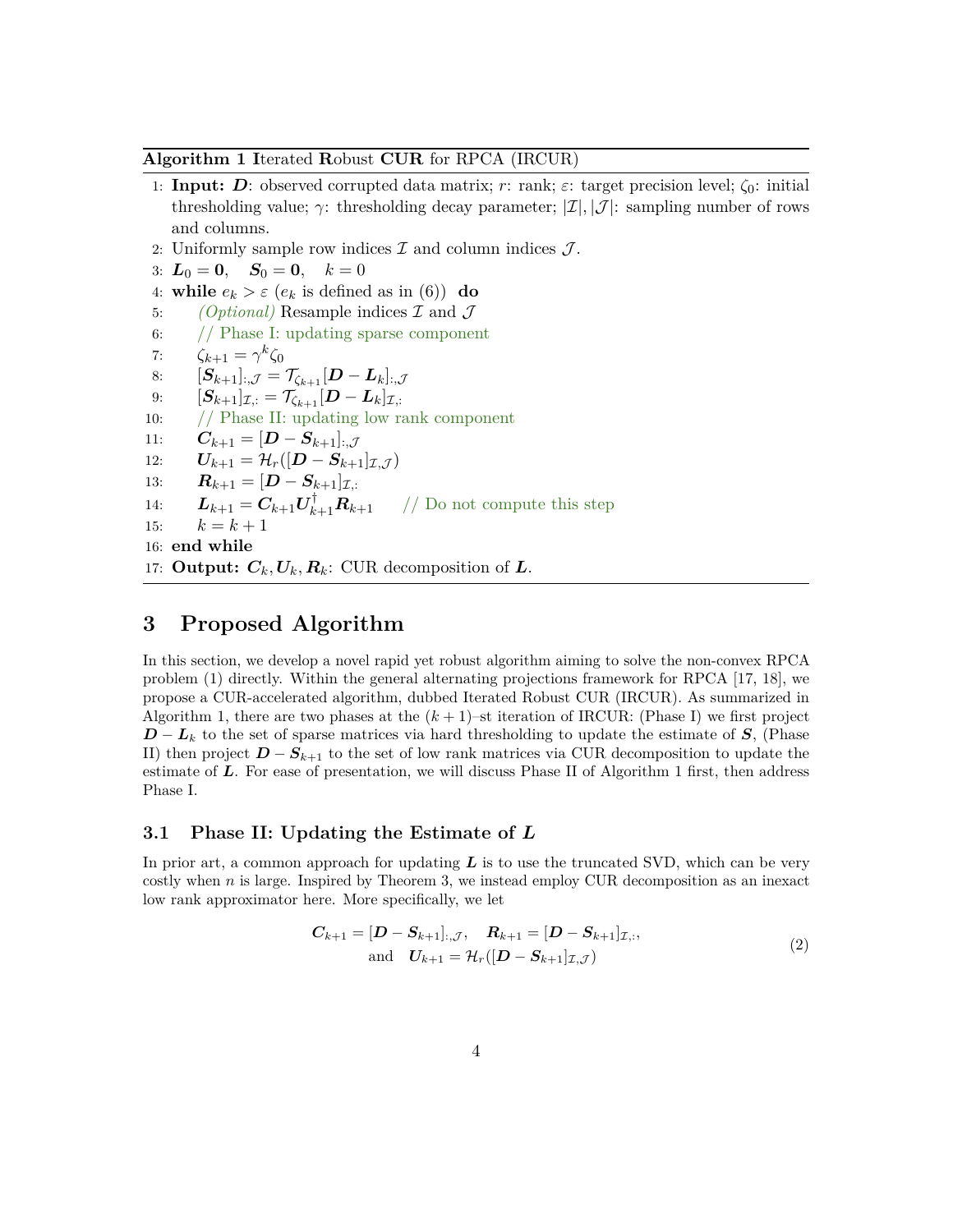#### <span id="page-3-0"></span>**Algorithm 1 I**terated **R**obust **CUR** for RPCA (IRCUR)

- 1: **Input:** *D*: observed corrupted data matrix; *r*: rank; *ε*: target precision level; *ζ*0: initial thresholding value;  $\gamma$ : thresholding decay parameter;  $|\mathcal{I}|$ ,  $|\mathcal{J}|$ : sampling number of rows and columns.
- 2: Uniformly sample row indices  $\mathcal I$  and column indices  $\mathcal J$ .
- 3:  $L_0 = 0$ ,  $S_0 = 0$ ,  $k = 0$
- 4: **while**  $e_k > \varepsilon$  ( $e_k$  is defined as in [\(6\)](#page-4-0)) **do**
- 5: *(Optional)* Resample indices I and J
- 6: // Phase I: updating sparse component
- 7:  $\zeta_{k+1} = \gamma^k \zeta_0$
- 8:  $[\mathbf{S}_{k+1}^{k+1}], \mathbf{S}_{k+1}^{k+1} = \mathcal{T}_{\zeta_{k+1}} [\mathbf{D} \mathbf{L}_k], \mathbf{J}$
- 9:  $[S_{k+1}]_{\mathcal{I},:} = \mathcal{T}_{\zeta_{k+1}}[D L_k]_{\mathcal{I},:}$
- 10: // Phase II: updating low rank component
- 11:  $C_{k+1} = [D S_{k+1}]_{...}$
- 12:  $U_{k+1} = \mathcal{H}_r([D S_{k+1}]_{\mathcal{I}, \mathcal{J}})$
- 13:  $R_{k+1} = [D S_{k+1}]_{\mathcal{I}}$
- 14:  $\boldsymbol{L}_{k+1} = \boldsymbol{C}_{k+1} \boldsymbol{U}_{k+1}^{\dagger} \boldsymbol{R}_{k+1}$  // Do not compute this step
- 15:  $k = k + 1$
- 16: **end while**
- 17: **Output:**  $C_k$ ,  $U_k$ ,  $R_k$ : CUR decomposition of  $L$ .

## **3 Proposed Algorithm**

In this section, we develop a novel rapid yet robust algorithm aiming to solve the non-convex RPCA problem [\(1\)](#page-1-0) directly. Within the general alternating projections framework for RPCA [\[17,](#page-10-8) [18\]](#page-10-10), we propose a CUR-accelerated algorithm, dubbed Iterated Robust CUR (IRCUR). As summarized in Algorithm [1,](#page-3-0) there are two phases at the  $(k+1)$ –st iteration of IRCUR: (Phase I) we first project *D* − *L*<sup>*k*</sup> to the set of sparse matrices via hard thresholding to update the estimate of *S*, (Phase II) then project  $D - S_{k+1}$  to the set of low rank matrices via CUR decomposition to update the estimate of *L*. For ease of presentation, we will discuss Phase II of Algorithm [1](#page-3-0) first, then address Phase I.

#### **3.1 Phase II: Updating the Estimate of** *L*

In prior art, a common approach for updating *L* is to use the truncated SVD, which can be very costly when *n* is large. Inspired by Theorem [3,](#page-2-0) we instead employ CUR decomposition as an inexact low rank approximator here. More specifically, we let

$$
C_{k+1} = [D - S_{k+1}]_{:, \mathcal{J}}, \quad R_{k+1} = [D - S_{k+1}]_{\mathcal{I}, :},
$$
  
and 
$$
U_{k+1} = \mathcal{H}_r([D - S_{k+1}]_{\mathcal{I}, \mathcal{J}})
$$
 (2)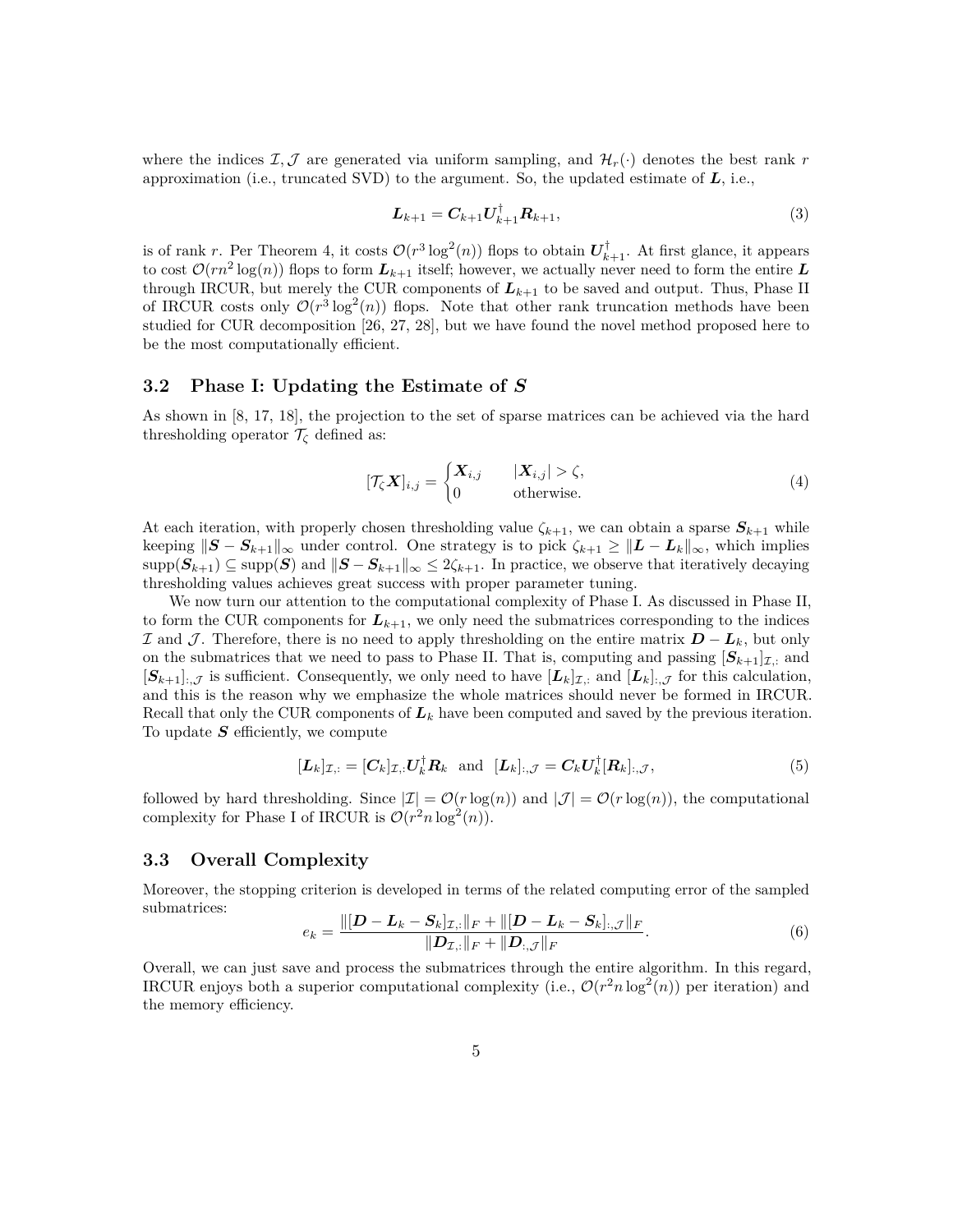where the indices  $I, J$  are generated via uniform sampling, and  $H_r(\cdot)$  denotes the best rank *r* approximation (i.e., truncated SVD) to the argument. So, the updated estimate of *L*, i.e.,

$$
L_{k+1} = C_{k+1} U_{k+1}^{\dagger} R_{k+1}, \tag{3}
$$

is of rank *r*. Per Theorem [4,](#page-2-1) it costs  $\mathcal{O}(r^3 \log^2(n))$  flops to obtain  $\mathbf{U}_{k+1}^{\dagger}$ . At first glance, it appears to cost  $\mathcal{O}(rn^2 \log(n))$  flops to form  $L_{k+1}$  itself; however, we actually never need to form the entire L through IRCUR, but merely the CUR components of  $L_{k+1}$  to be saved and output. Thus, Phase II of IRCUR costs only  $\mathcal{O}(r^3 \log^2(n))$  flops. Note that other rank truncation methods have been studied for CUR decomposition [\[26,](#page-11-3) [27,](#page-11-4) [28\]](#page-11-5), but we have found the novel method proposed here to be the most computationally efficient.

#### **3.2 Phase I: Updating the Estimate of** *S*

As shown in [\[8,](#page-10-0) [17,](#page-10-8) [18\]](#page-10-10), the projection to the set of sparse matrices can be achieved via the hard thresholding operator  $\mathcal{T}_{\zeta}$  defined as:

$$
[\mathcal{T}_{\zeta} \mathbf{X}]_{i,j} = \begin{cases} \mathbf{X}_{i,j} & |X_{i,j}| > \zeta, \\ 0 & \text{otherwise.} \end{cases} \tag{4}
$$

At each iteration, with properly chosen thresholding value  $\zeta_{k+1}$ , we can obtain a sparse  $S_{k+1}$  while keeping  $||S - S_{k+1}||_{\infty}$  under control. One strategy is to pick  $\zeta_{k+1} \ge ||L - L_k||_{\infty}$ , which implies  $\supp(\mathbf{S}_{k+1}) \subseteq \supp(\mathbf{S})$  and  $\|\mathbf{S} - \mathbf{S}_{k+1}\|_{\infty} \leq 2\zeta_{k+1}$ . In practice, we observe that iteratively decaying thresholding values achieves great success with proper parameter tuning.

We now turn our attention to the computational complexity of Phase I. As discussed in Phase II, to form the CUR components for  $L_{k+1}$ , we only need the submatrices corresponding to the indices I and J . Therefore, there is no need to apply thresholding on the entire matrix *D* − *Lk*, but only on the submatrices that we need to pass to Phase II. That is, computing and passing  $[S_{k+1}]_{\mathcal{I},\mathcal{I}}$  and  $[S_{k+1}]_{:, \mathcal{J}}$  is sufficient. Consequently, we only need to have  $[L_k]_{\mathcal{I},:}$  and  $[L_k]_{:, \mathcal{J}}$  for this calculation, and this is the reason why we emphasize the whole matrices should never be formed in IRCUR. Recall that only the CUR components of *L<sup>k</sup>* have been computed and saved by the previous iteration. To update *S* efficiently, we compute

$$
[\boldsymbol{L}_k]_{\mathcal{I},:} = [\boldsymbol{C}_k]_{\mathcal{I},:} \boldsymbol{U}_k^\dagger \boldsymbol{R}_k \text{ and } [\boldsymbol{L}_k]_{:,\mathcal{J}} = \boldsymbol{C}_k \boldsymbol{U}_k^\dagger [\boldsymbol{R}_k]_{:,\mathcal{J}},\tag{5}
$$

followed by hard thresholding. Since  $|\mathcal{I}| = \mathcal{O}(r \log(n))$  and  $|\mathcal{J}| = \mathcal{O}(r \log(n))$ , the computational complexity for Phase I of IRCUR is  $\mathcal{O}(r^2 n \log^2(n))$ .

#### **3.3 Overall Complexity**

Moreover, the stopping criterion is developed in terms of the related computing error of the sampled submatrices:

<span id="page-4-0"></span>
$$
e_k = \frac{\|[\mathbf{D} - \mathbf{L}_k - \mathbf{S}_k]_{\mathcal{I},:}\|_F + \|[\mathbf{D} - \mathbf{L}_k - \mathbf{S}_k]_{:,\mathcal{J}}\|_F}{\|\mathbf{D}_{\mathcal{I},:}\|_F + \|\mathbf{D}_{:,\mathcal{J}}\|_F}.
$$
(6)

Overall, we can just save and process the submatrices through the entire algorithm. In this regard, IRCUR enjoys both a superior computational complexity (i.e.,  $\mathcal{O}(r^2 n \log^2(n))$ ) per iteration) and the memory efficiency.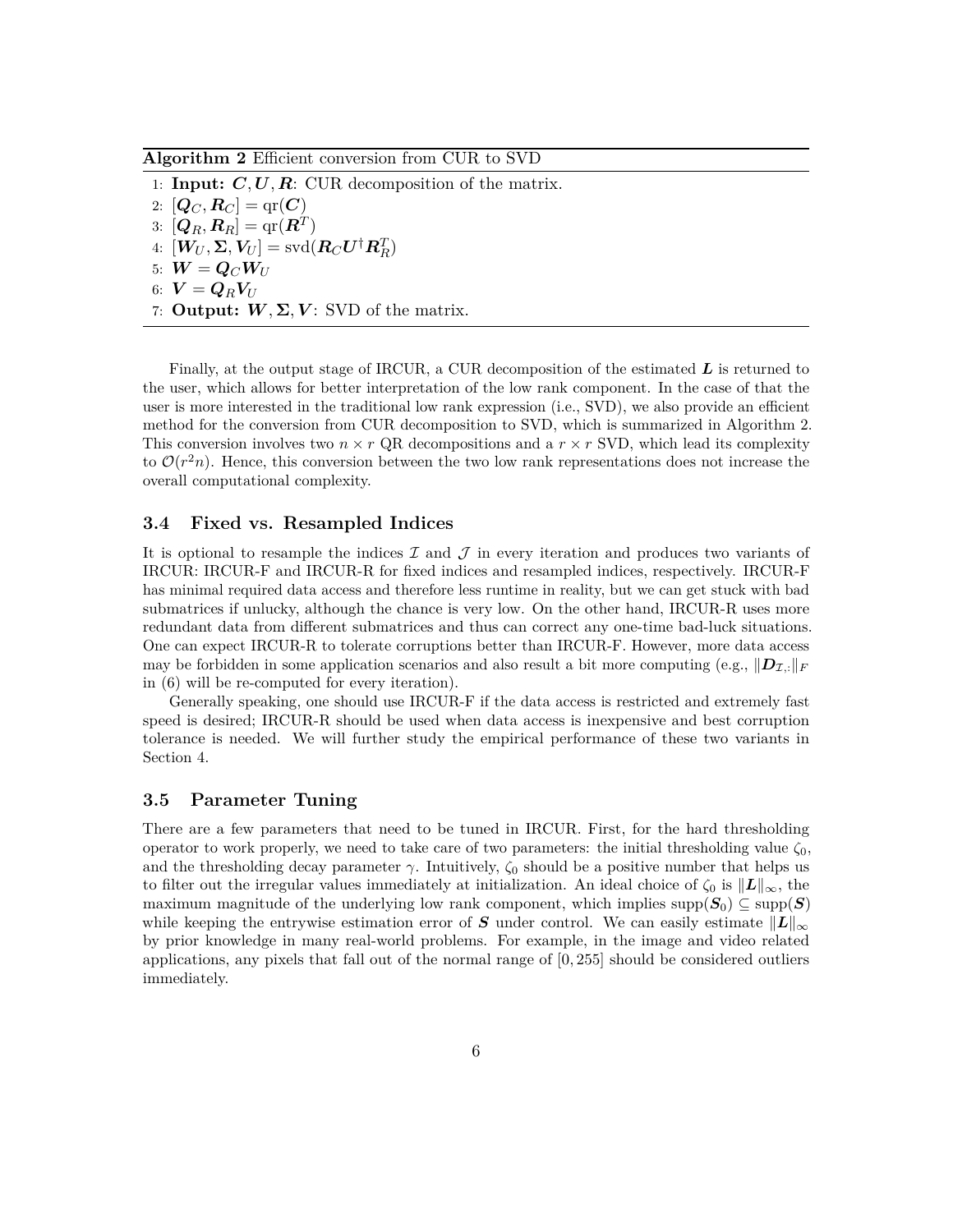<span id="page-5-0"></span>**Algorithm 2** Efficient conversion from CUR to SVD

1: **Input:** *C, U, R*: CUR decomposition of the matrix. 2:  $[Q_C, R_C] = qr(C)$  $3: [\boldsymbol{Q}_R, \boldsymbol{R}_R] = \text{qr}(\boldsymbol{R}^T)$  $4: \ [\boldsymbol{W}_U, \boldsymbol{\Sigma}, \boldsymbol{V}_U] = \text{svd}(\boldsymbol{R}_C \boldsymbol{U}^\dagger \boldsymbol{R}_R^T)$ 5:  $W = Q_C W_U$  $6: V = Q_R V_U$ 7: **Output:**  $W, \Sigma, V$ : SVD of the matrix.

Finally, at the output stage of IRCUR, a CUR decomposition of the estimated *L* is returned to the user, which allows for better interpretation of the low rank component. In the case of that the user is more interested in the traditional low rank expression (i.e., SVD), we also provide an efficient method for the conversion from CUR decomposition to SVD, which is summarized in Algorithm [2.](#page-5-0) This conversion involves two  $n \times r$  QR decompositions and a  $r \times r$  SVD, which lead its complexity to  $\mathcal{O}(r^2n)$ . Hence, this conversion between the two low rank representations does not increase the overall computational complexity.

#### **3.4 Fixed vs. Resampled Indices**

It is optional to resample the indices  $\mathcal I$  and  $\mathcal J$  in every iteration and produces two variants of IRCUR: IRCUR-F and IRCUR-R for fixed indices and resampled indices, respectively. IRCUR-F has minimal required data access and therefore less runtime in reality, but we can get stuck with bad submatrices if unlucky, although the chance is very low. On the other hand, IRCUR-R uses more redundant data from different submatrices and thus can correct any one-time bad-luck situations. One can expect IRCUR-R to tolerate corruptions better than IRCUR-F. However, more data access may be forbidden in some application scenarios and also result a bit more computing (e.g.,  $\|\mathbf{D}_{\mathcal{I}}\|_F$ in [\(6\)](#page-4-0) will be re-computed for every iteration).

Generally speaking, one should use IRCUR-F if the data access is restricted and extremely fast speed is desired; IRCUR-R should be used when data access is inexpensive and best corruption tolerance is needed. We will further study the empirical performance of these two variants in Section [4.](#page-6-0)

#### **3.5 Parameter Tuning**

There are a few parameters that need to be tuned in IRCUR. First, for the hard thresholding operator to work properly, we need to take care of two parameters: the initial thresholding value  $\zeta_0$ , and the thresholding decay parameter  $\gamma$ . Intuitively,  $\zeta_0$  should be a positive number that helps us to filter out the irregular values immediately at initialization. An ideal choice of  $\zeta_0$  is  $\|L\|_{\infty}$ , the maximum magnitude of the underlying low rank component, which implies supp $(S_0) \subseteq \text{supp}(S)$ while keeping the entrywise estimation error of *S* under control. We can easily estimate  $\|L\|_{\infty}$ by prior knowledge in many real-world problems. For example, in the image and video related applications, any pixels that fall out of the normal range of [0*,* 255] should be considered outliers immediately.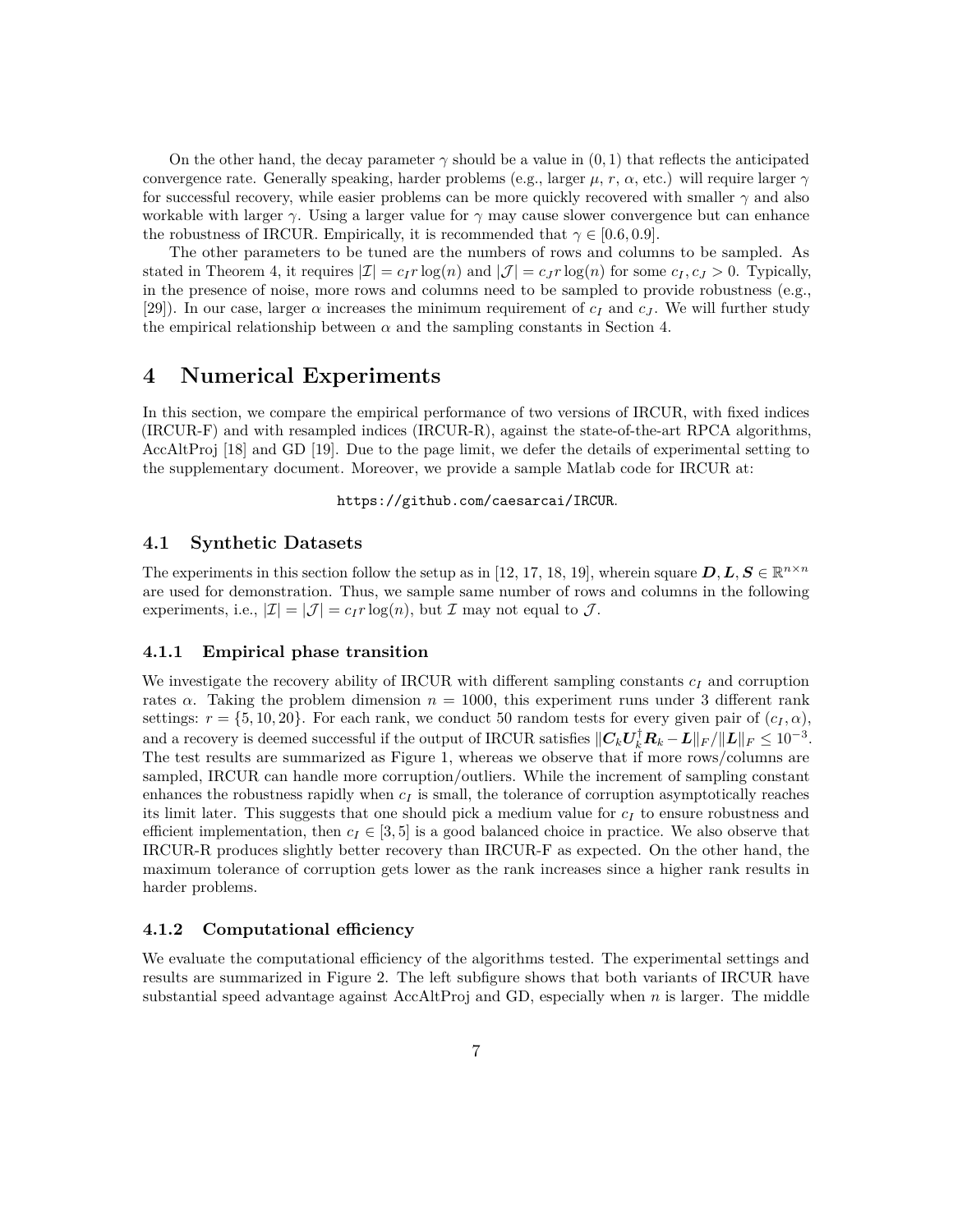On the other hand, the decay parameter  $\gamma$  should be a value in  $(0, 1)$  that reflects the anticipated convergence rate. Generally speaking, harder problems (e.g., larger  $\mu$ ,  $r$ ,  $\alpha$ , etc.) will require larger  $\gamma$ for successful recovery, while easier problems can be more quickly recovered with smaller *γ* and also workable with larger  $\gamma$ . Using a larger value for  $\gamma$  may cause slower convergence but can enhance the robustness of IRCUR. Empirically, it is recommended that  $\gamma \in [0.6, 0.9]$ .

The other parameters to be tuned are the numbers of rows and columns to be sampled. As stated in Theorem [4,](#page-2-1) it requires  $|\mathcal{I}| = c_I r \log(n)$  and  $|\mathcal{J}| = c_J r \log(n)$  for some  $c_I, c_J > 0$ . Typically, in the presence of noise, more rows and columns need to be sampled to provide robustness (e.g., [\[29\]](#page-11-6)). In our case, larger  $\alpha$  increases the minimum requirement of  $c_I$  and  $c_J$ . We will further study the empirical relationship between  $\alpha$  and the sampling constants in Section [4.](#page-6-0)

### <span id="page-6-0"></span>**4 Numerical Experiments**

In this section, we compare the empirical performance of two versions of IRCUR, with fixed indices (IRCUR-F) and with resampled indices (IRCUR-R), against the state-of-the-art RPCA algorithms, AccAltProj [\[18\]](#page-10-10) and GD [\[19\]](#page-10-11). Due to the page limit, we defer the details of experimental setting to the supplementary document. Moreover, we provide a sample Matlab code for IRCUR at:

<https://github.com/caesarcai/IRCUR>.

#### **4.1 Synthetic Datasets**

The experiments in this section follow the setup as in [\[12,](#page-10-3) [17,](#page-10-8) [18,](#page-10-10) [19\]](#page-10-11), wherein square  $D, L, S \in \mathbb{R}^{n \times n}$ are used for demonstration. Thus, we sample same number of rows and columns in the following experiments, i.e.,  $|\mathcal{I}| = |\mathcal{J}| = c_I r \log(n)$ , but  $\mathcal{I}$  may not equal to  $\mathcal{J}$ .

#### **4.1.1 Empirical phase transition**

We investigate the recovery ability of IRCUR with different sampling constants *c<sup>I</sup>* and corruption rates  $\alpha$ . Taking the problem dimension  $n = 1000$ , this experiment runs under 3 different rank settings:  $r = \{5, 10, 20\}$ . For each rank, we conduct 50 random tests for every given pair of  $(c_I, \alpha)$ , and a recovery is deemed successful if the output of IRCUR satisfies  $||C_kU_k^{\dagger}R_k - L||_F/||L||_F \le 10^{-3}$ . The test results are summarized as Figure [1,](#page-7-0) whereas we observe that if more rows/columns are sampled, IRCUR can handle more corruption/outliers. While the increment of sampling constant enhances the robustness rapidly when  $c_I$  is small, the tolerance of corruption asymptotically reaches its limit later. This suggests that one should pick a medium value for *c<sup>I</sup>* to ensure robustness and efficient implementation, then  $c_I \in [3, 5]$  is a good balanced choice in practice. We also observe that IRCUR-R produces slightly better recovery than IRCUR-F as expected. On the other hand, the maximum tolerance of corruption gets lower as the rank increases since a higher rank results in harder problems.

#### **4.1.2 Computational efficiency**

We evaluate the computational efficiency of the algorithms tested. The experimental settings and results are summarized in Figure [2.](#page-8-0) The left subfigure shows that both variants of IRCUR have substantial speed advantage against AccAltProj and GD, especially when *n* is larger. The middle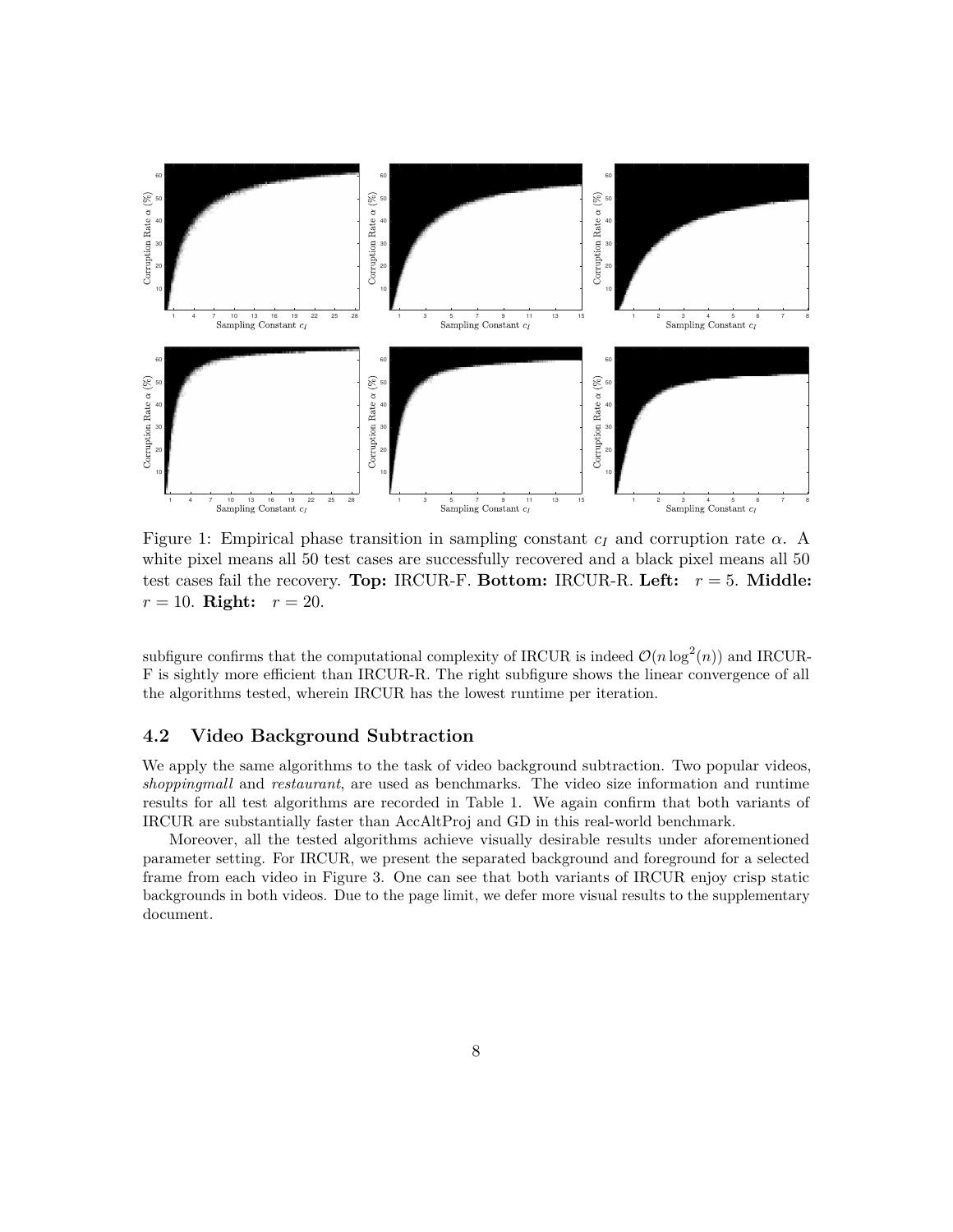<span id="page-7-0"></span>

Figure 1: Empirical phase transition in sampling constant  $c_I$  and corruption rate  $\alpha$ . A white pixel means all 50 test cases are successfully recovered and a black pixel means all 50 test cases fail the recovery. **Top:** IRCUR-F. **Bottom:** IRCUR-R. **Left:** *r* = 5. **Middle:**  $r = 10$ . **Right:**  $r = 20$ .

subfigure confirms that the computational complexity of IRCUR is indeed  $\mathcal{O}(n \log^2(n))$  and IRCUR-F is sightly more efficient than IRCUR-R. The right subfigure shows the linear convergence of all the algorithms tested, wherein IRCUR has the lowest runtime per iteration.

### **4.2 Video Background Subtraction**

We apply the same algorithms to the task of video background subtraction. Two popular videos, *shoppingmall* and *restaurant*, are used as benchmarks. The video size information and runtime results for all test algorithms are recorded in Table [1.](#page-8-1) We again confirm that both variants of IRCUR are substantially faster than AccAltProj and GD in this real-world benchmark.

Moreover, all the tested algorithms achieve visually desirable results under aforementioned parameter setting. For IRCUR, we present the separated background and foreground for a selected frame from each video in Figure [3.](#page-9-7) One can see that both variants of IRCUR enjoy crisp static backgrounds in both videos. Due to the page limit, we defer more visual results to the supplementary document.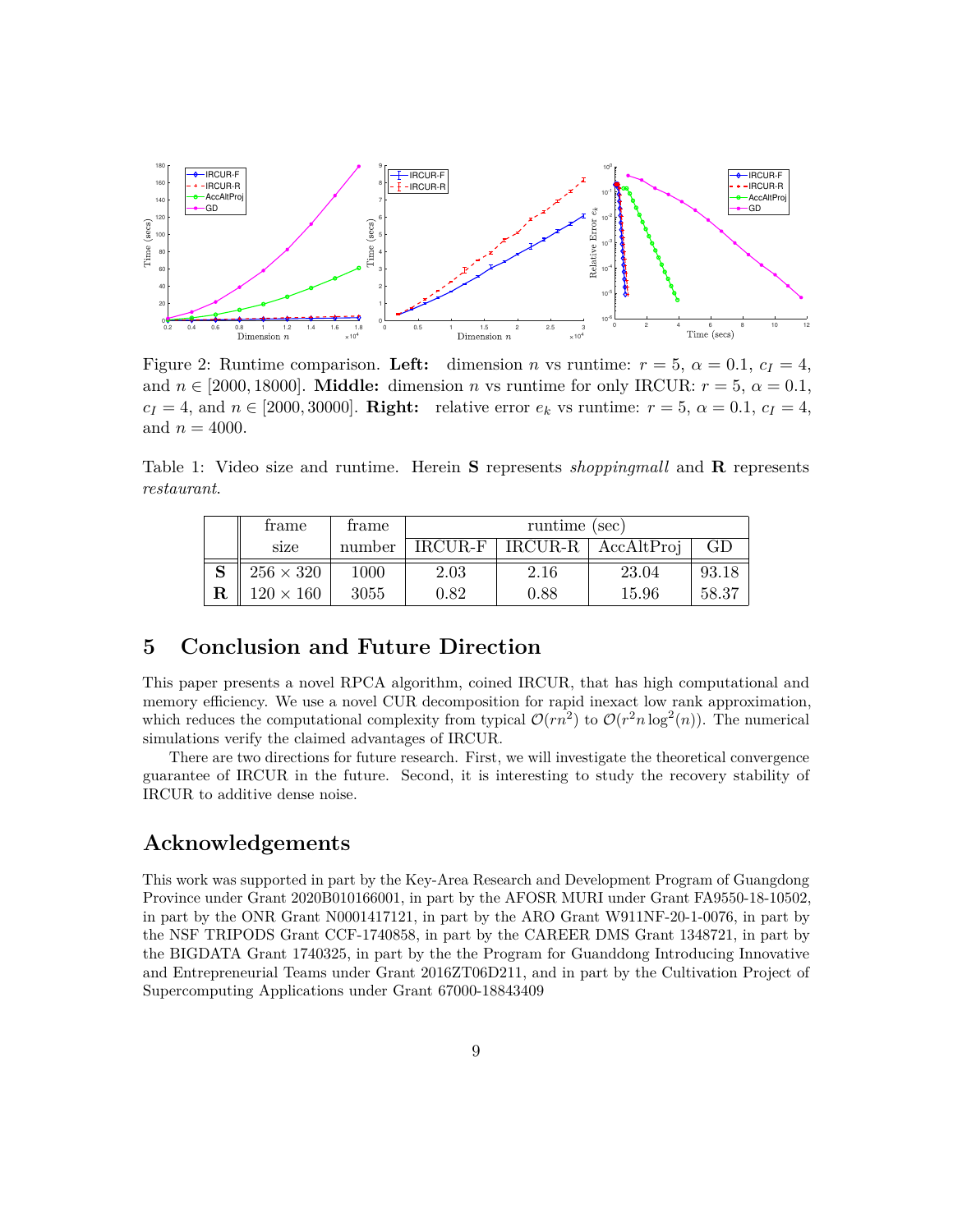<span id="page-8-0"></span>

Figure 2: Runtime comparison. Left: dimension *n* vs runtime:  $r = 5$ ,  $\alpha = 0.1$ ,  $c_I = 4$ , and  $n \in [2000, 18000]$ . **Middle:** dimension *n* vs runtime for only IRCUR:  $r = 5$ ,  $\alpha = 0.1$ ,  $c_I = 4$ , and  $n \in [2000, 30000]$ . **Right:** relative error  $e_k$  vs runtime:  $r = 5$ ,  $\alpha = 0.1$ ,  $c_I = 4$ , and  $n = 4000$ .

<span id="page-8-1"></span>Table 1: Video size and runtime. Herein **S** represents *shoppingmall* and **R** represents *restaurant*.

|        | frame            | frame  | runtime (sec) |      |                                  |       |
|--------|------------------|--------|---------------|------|----------------------------------|-------|
|        | size             | number |               |      | $IRCUR-F   IRCUR-R   AccAltProj$ | GD    |
| $\sim$ | $256 \times 320$ | 1000   | 2.03          | 2.16 | 23.04                            | 93.18 |
|        | $120 \times 160$ | 3055   | 0.82          | 0.88 | 15.96                            | 58.37 |

### **5 Conclusion and Future Direction**

This paper presents a novel RPCA algorithm, coined IRCUR, that has high computational and memory efficiency. We use a novel CUR decomposition for rapid inexact low rank approximation, which reduces the computational complexity from typical  $\mathcal{O}(rn^2)$  to  $\mathcal{O}(r^2n \log^2(n))$ . The numerical simulations verify the claimed advantages of IRCUR.

There are two directions for future research. First, we will investigate the theoretical convergence guarantee of IRCUR in the future. Second, it is interesting to study the recovery stability of IRCUR to additive dense noise.

## **Acknowledgements**

This work was supported in part by the Key-Area Research and Development Program of Guangdong Province under Grant 2020B010166001, in part by the AFOSR MURI under Grant FA9550-18-10502, in part by the ONR Grant N0001417121, in part by the ARO Grant W911NF-20-1-0076, in part by the NSF TRIPODS Grant CCF-1740858, in part by the CAREER DMS Grant 1348721, in part by the BIGDATA Grant 1740325, in part by the the Program for Guanddong Introducing Innovative and Entrepreneurial Teams under Grant 2016ZT06D211, and in part by the Cultivation Project of Supercomputing Applications under Grant 67000-18843409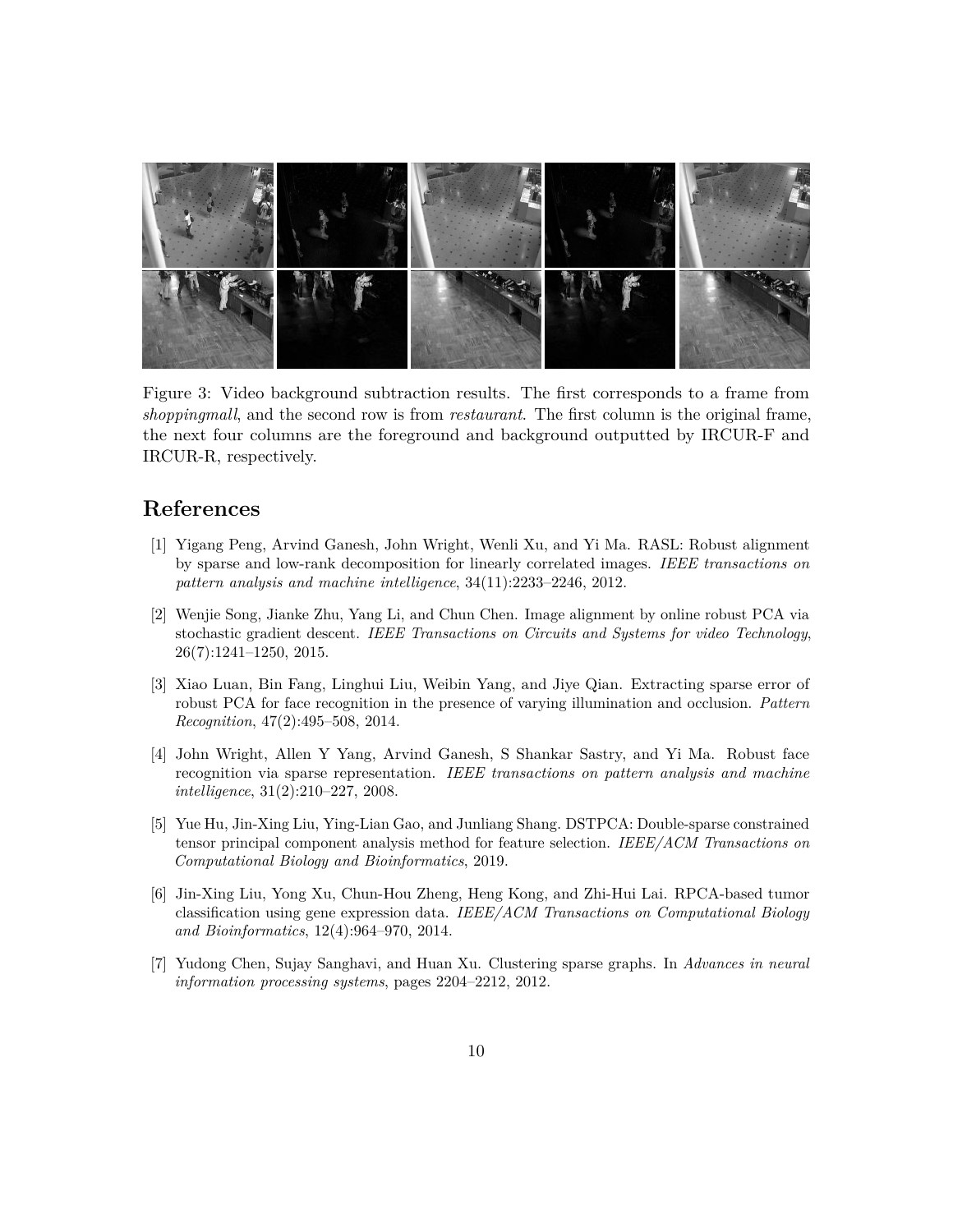<span id="page-9-7"></span>

Figure 3: Video background subtraction results. The first corresponds to a frame from *shoppingmall*, and the second row is from *restaurant*. The first column is the original frame, the next four columns are the foreground and background outputted by IRCUR-F and IRCUR-R, respectively.

## **References**

- <span id="page-9-0"></span>[1] Yigang Peng, Arvind Ganesh, John Wright, Wenli Xu, and Yi Ma. RASL: Robust alignment by sparse and low-rank decomposition for linearly correlated images. *IEEE transactions on pattern analysis and machine intelligence*, 34(11):2233–2246, 2012.
- <span id="page-9-1"></span>[2] Wenjie Song, Jianke Zhu, Yang Li, and Chun Chen. Image alignment by online robust PCA via stochastic gradient descent. *IEEE Transactions on Circuits and Systems for video Technology*, 26(7):1241–1250, 2015.
- <span id="page-9-2"></span>[3] Xiao Luan, Bin Fang, Linghui Liu, Weibin Yang, and Jiye Qian. Extracting sparse error of robust PCA for face recognition in the presence of varying illumination and occlusion. *Pattern Recognition*, 47(2):495–508, 2014.
- <span id="page-9-3"></span>[4] John Wright, Allen Y Yang, Arvind Ganesh, S Shankar Sastry, and Yi Ma. Robust face recognition via sparse representation. *IEEE transactions on pattern analysis and machine intelligence*, 31(2):210–227, 2008.
- <span id="page-9-4"></span>[5] Yue Hu, Jin-Xing Liu, Ying-Lian Gao, and Junliang Shang. DSTPCA: Double-sparse constrained tensor principal component analysis method for feature selection. *IEEE/ACM Transactions on Computational Biology and Bioinformatics*, 2019.
- <span id="page-9-5"></span>[6] Jin-Xing Liu, Yong Xu, Chun-Hou Zheng, Heng Kong, and Zhi-Hui Lai. RPCA-based tumor classification using gene expression data. *IEEE/ACM Transactions on Computational Biology and Bioinformatics*, 12(4):964–970, 2014.
- <span id="page-9-6"></span>[7] Yudong Chen, Sujay Sanghavi, and Huan Xu. Clustering sparse graphs. In *Advances in neural information processing systems*, pages 2204–2212, 2012.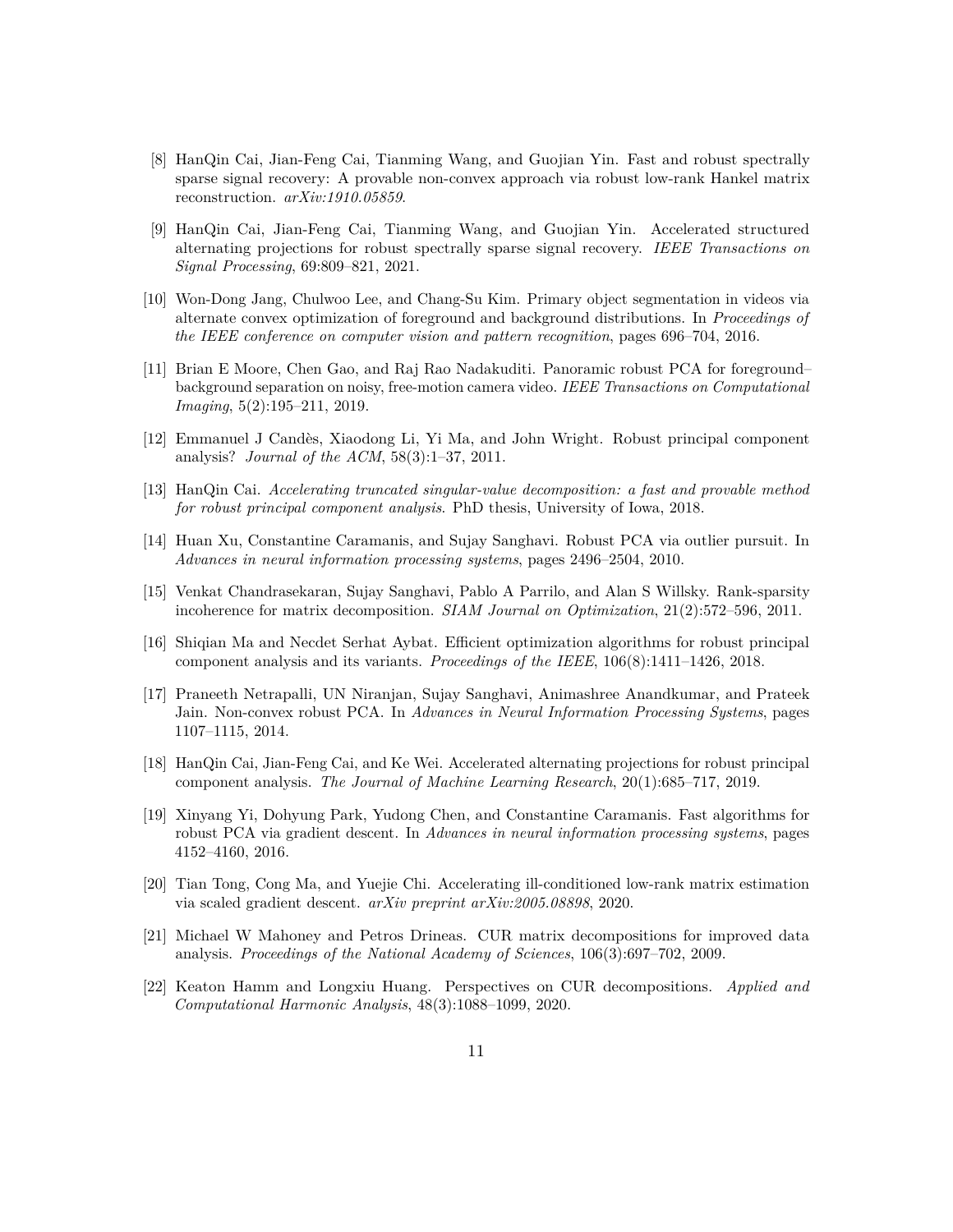- <span id="page-10-0"></span>[8] HanQin Cai, Jian-Feng Cai, Tianming Wang, and Guojian Yin. Fast and robust spectrally sparse signal recovery: A provable non-convex approach via robust low-rank Hankel matrix reconstruction. *arXiv:1910.05859*.
- <span id="page-10-9"></span>[9] HanQin Cai, Jian-Feng Cai, Tianming Wang, and Guojian Yin. Accelerated structured alternating projections for robust spectrally sparse signal recovery. *IEEE Transactions on Signal Processing*, 69:809–821, 2021.
- <span id="page-10-1"></span>[10] Won-Dong Jang, Chulwoo Lee, and Chang-Su Kim. Primary object segmentation in videos via alternate convex optimization of foreground and background distributions. In *Proceedings of the IEEE conference on computer vision and pattern recognition*, pages 696–704, 2016.
- <span id="page-10-2"></span>[11] Brian E Moore, Chen Gao, and Raj Rao Nadakuditi. Panoramic robust PCA for foreground– background separation on noisy, free-motion camera video. *IEEE Transactions on Computational Imaging*, 5(2):195–211, 2019.
- <span id="page-10-3"></span>[12] Emmanuel J Candès, Xiaodong Li, Yi Ma, and John Wright. Robust principal component analysis? *Journal of the ACM*, 58(3):1–37, 2011.
- <span id="page-10-4"></span>[13] HanQin Cai. *Accelerating truncated singular-value decomposition: a fast and provable method for robust principal component analysis*. PhD thesis, University of Iowa, 2018.
- <span id="page-10-5"></span>[14] Huan Xu, Constantine Caramanis, and Sujay Sanghavi. Robust PCA via outlier pursuit. In *Advances in neural information processing systems*, pages 2496–2504, 2010.
- <span id="page-10-6"></span>[15] Venkat Chandrasekaran, Sujay Sanghavi, Pablo A Parrilo, and Alan S Willsky. Rank-sparsity incoherence for matrix decomposition. *SIAM Journal on Optimization*, 21(2):572–596, 2011.
- <span id="page-10-7"></span>[16] Shiqian Ma and Necdet Serhat Aybat. Efficient optimization algorithms for robust principal component analysis and its variants. *Proceedings of the IEEE*, 106(8):1411–1426, 2018.
- <span id="page-10-8"></span>[17] Praneeth Netrapalli, UN Niranjan, Sujay Sanghavi, Animashree Anandkumar, and Prateek Jain. Non-convex robust PCA. In *Advances in Neural Information Processing Systems*, pages 1107–1115, 2014.
- <span id="page-10-10"></span>[18] HanQin Cai, Jian-Feng Cai, and Ke Wei. Accelerated alternating projections for robust principal component analysis. *The Journal of Machine Learning Research*, 20(1):685–717, 2019.
- <span id="page-10-11"></span>[19] Xinyang Yi, Dohyung Park, Yudong Chen, and Constantine Caramanis. Fast algorithms for robust PCA via gradient descent. In *Advances in neural information processing systems*, pages 4152–4160, 2016.
- <span id="page-10-12"></span>[20] Tian Tong, Cong Ma, and Yuejie Chi. Accelerating ill-conditioned low-rank matrix estimation via scaled gradient descent. *arXiv preprint arXiv:2005.08898*, 2020.
- <span id="page-10-13"></span>[21] Michael W Mahoney and Petros Drineas. CUR matrix decompositions for improved data analysis. *Proceedings of the National Academy of Sciences*, 106(3):697–702, 2009.
- <span id="page-10-14"></span>[22] Keaton Hamm and Longxiu Huang. Perspectives on CUR decompositions. *Applied and Computational Harmonic Analysis*, 48(3):1088–1099, 2020.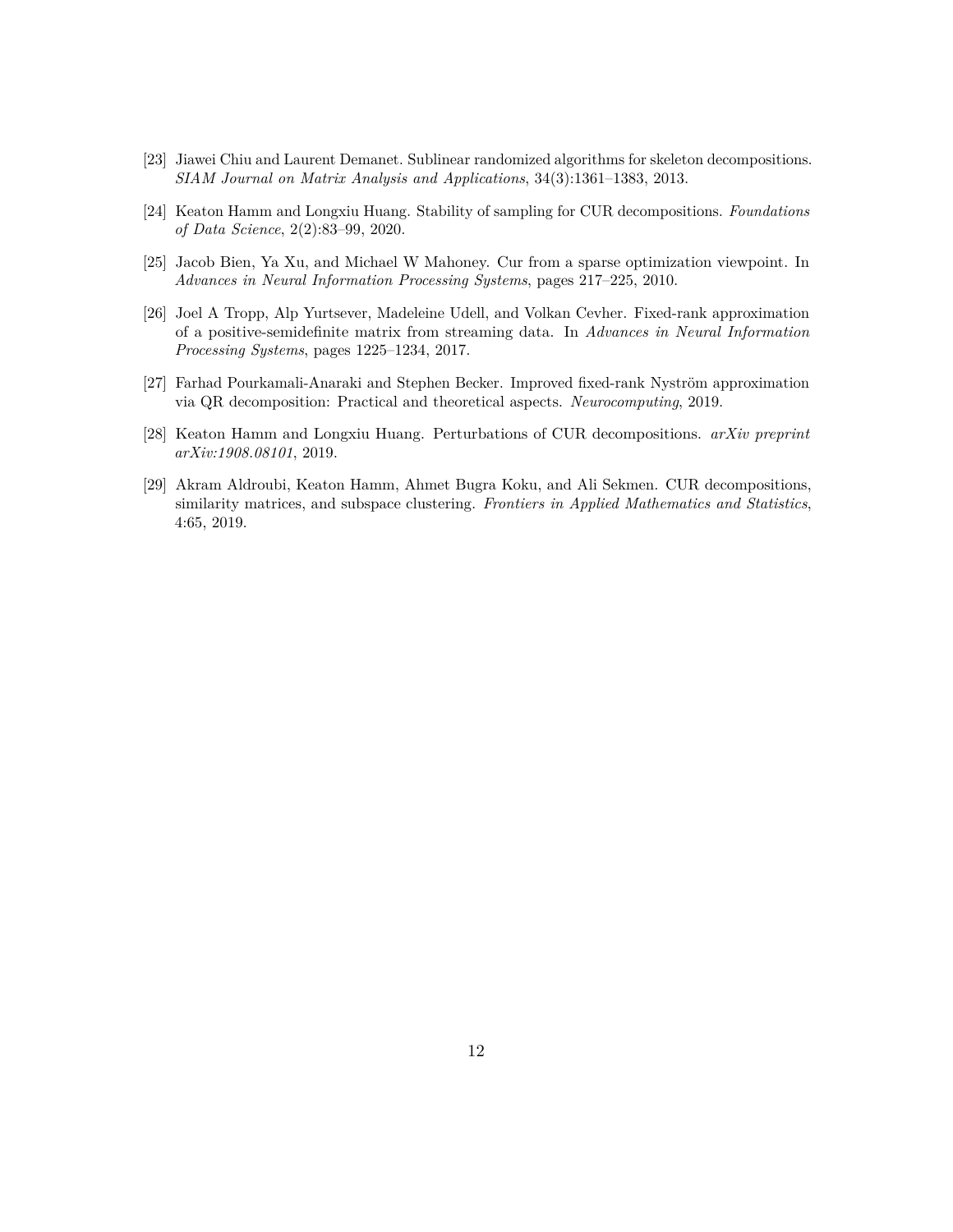- <span id="page-11-0"></span>[23] Jiawei Chiu and Laurent Demanet. Sublinear randomized algorithms for skeleton decompositions. *SIAM Journal on Matrix Analysis and Applications*, 34(3):1361–1383, 2013.
- <span id="page-11-1"></span>[24] Keaton Hamm and Longxiu Huang. Stability of sampling for CUR decompositions. *Foundations of Data Science*, 2(2):83–99, 2020.
- <span id="page-11-2"></span>[25] Jacob Bien, Ya Xu, and Michael W Mahoney. Cur from a sparse optimization viewpoint. In *Advances in Neural Information Processing Systems*, pages 217–225, 2010.
- <span id="page-11-3"></span>[26] Joel A Tropp, Alp Yurtsever, Madeleine Udell, and Volkan Cevher. Fixed-rank approximation of a positive-semidefinite matrix from streaming data. In *Advances in Neural Information Processing Systems*, pages 1225–1234, 2017.
- <span id="page-11-4"></span>[27] Farhad Pourkamali-Anaraki and Stephen Becker. Improved fixed-rank Nyström approximation via QR decomposition: Practical and theoretical aspects. *Neurocomputing*, 2019.
- <span id="page-11-5"></span>[28] Keaton Hamm and Longxiu Huang. Perturbations of CUR decompositions. *arXiv preprint arXiv:1908.08101*, 2019.
- <span id="page-11-6"></span>[29] Akram Aldroubi, Keaton Hamm, Ahmet Bugra Koku, and Ali Sekmen. CUR decompositions, similarity matrices, and subspace clustering. *Frontiers in Applied Mathematics and Statistics*, 4:65, 2019.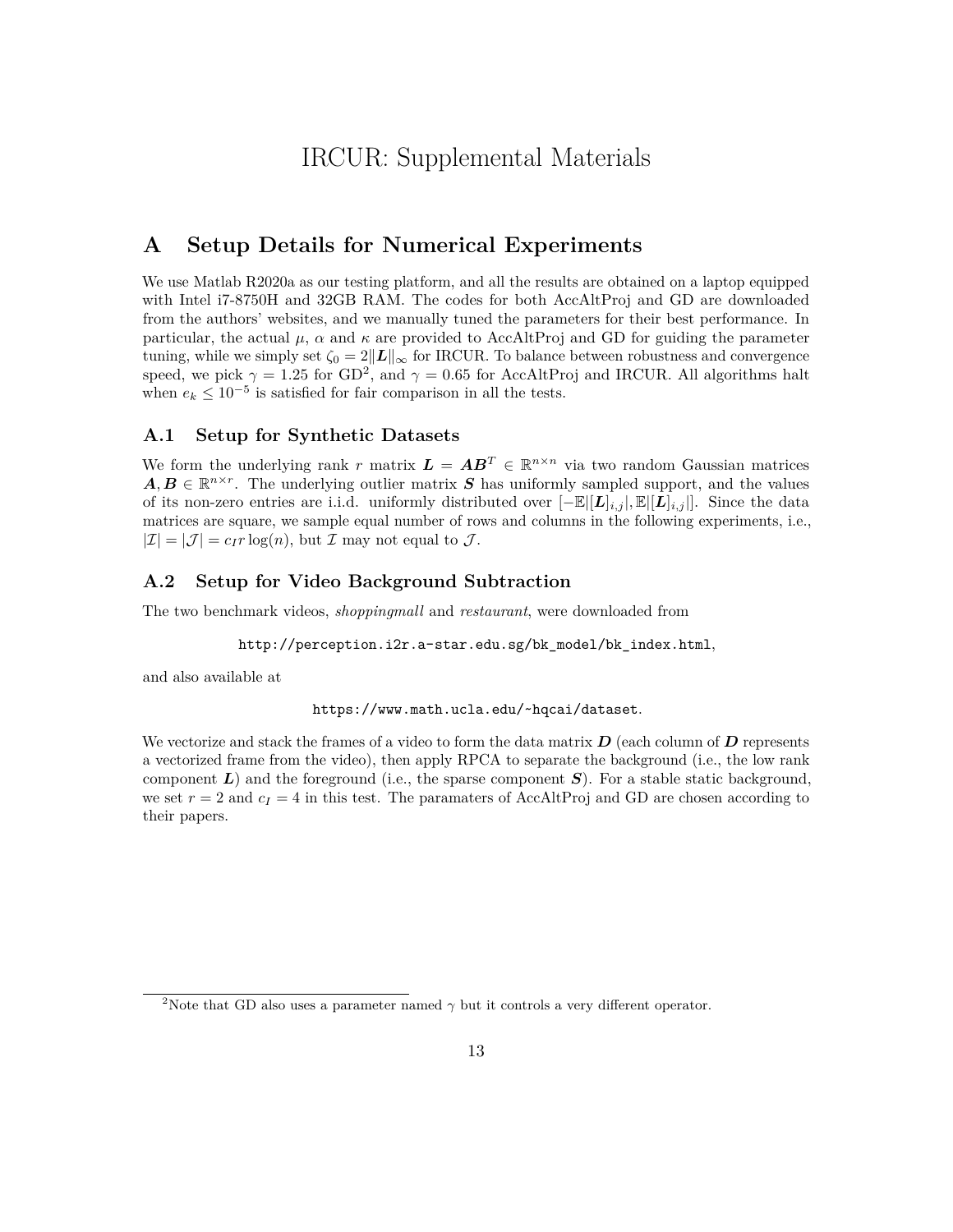## IRCUR: Supplemental Materials

## **A Setup Details for Numerical Experiments**

We use Matlab R2020a as our testing platform, and all the results are obtained on a laptop equipped with Intel i7-8750H and 32GB RAM. The codes for both AccAltProj and GD are downloaded from the authors' websites, and we manually tuned the parameters for their best performance. In particular, the actual  $\mu$ ,  $\alpha$  and  $\kappa$  are provided to AccAltProj and GD for guiding the parameter tuning, while we simply set  $\zeta_0 = 2||\mathbf{L}||_{\infty}$  for IRCUR. To balance between robustness and convergence speed, we pick  $\gamma = 1.25$  $\gamma = 1.25$  $\gamma = 1.25$  for GD<sup>2</sup>, and  $\gamma = 0.65$  for AccAltProj and IRCUR. All algorithms halt when  $e_k \leq 10^{-5}$  is satisfied for fair comparison in all the tests.

### **A.1 Setup for Synthetic Datasets**

We form the underlying rank *r* matrix  $\mathbf{L} = \mathbf{A}\mathbf{B}^T \in \mathbb{R}^{n \times n}$  via two random Gaussian matrices  $A, B \in \mathbb{R}^{n \times r}$ . The underlying outlier matrix *S* has uniformly sampled support, and the values of its non-zero entries are i.i.d. uniformly distributed over [−E|[*L*]*i,j* |*,* E|[*L*]*i,j* |]. Since the data matrices are square, we sample equal number of rows and columns in the following experiments, i.e.,  $|\mathcal{I}| = |\mathcal{J}| = c_I r \log(n)$ , but  $\mathcal{I}$  may not equal to  $\mathcal{J}$ .

#### **A.2 Setup for Video Background Subtraction**

The two benchmark videos, *shoppingmall* and *restaurant*, were downloaded from

[http://perception.i2r.a-star.edu.sg/bk\\_model/bk\\_index.html](http://perception.i2r.a-star.edu.sg/bk_model/bk_index.html),

and also available at

<https://www.math.ucla.edu/~hqcai/dataset>.

We vectorize and stack the frames of a video to form the data matrix *D* (each column of *D* represents a vectorized frame from the video), then apply RPCA to separate the background (i.e., the low rank component *L*) and the foreground (i.e., the sparse component *S*). For a stable static background, we set  $r = 2$  and  $c_I = 4$  in this test. The paramaters of AccAltProj and GD are chosen according to their papers.

<sup>&</sup>lt;sup>2</sup>Note that GD also uses a parameter named  $\gamma$  but it controls a very different operator.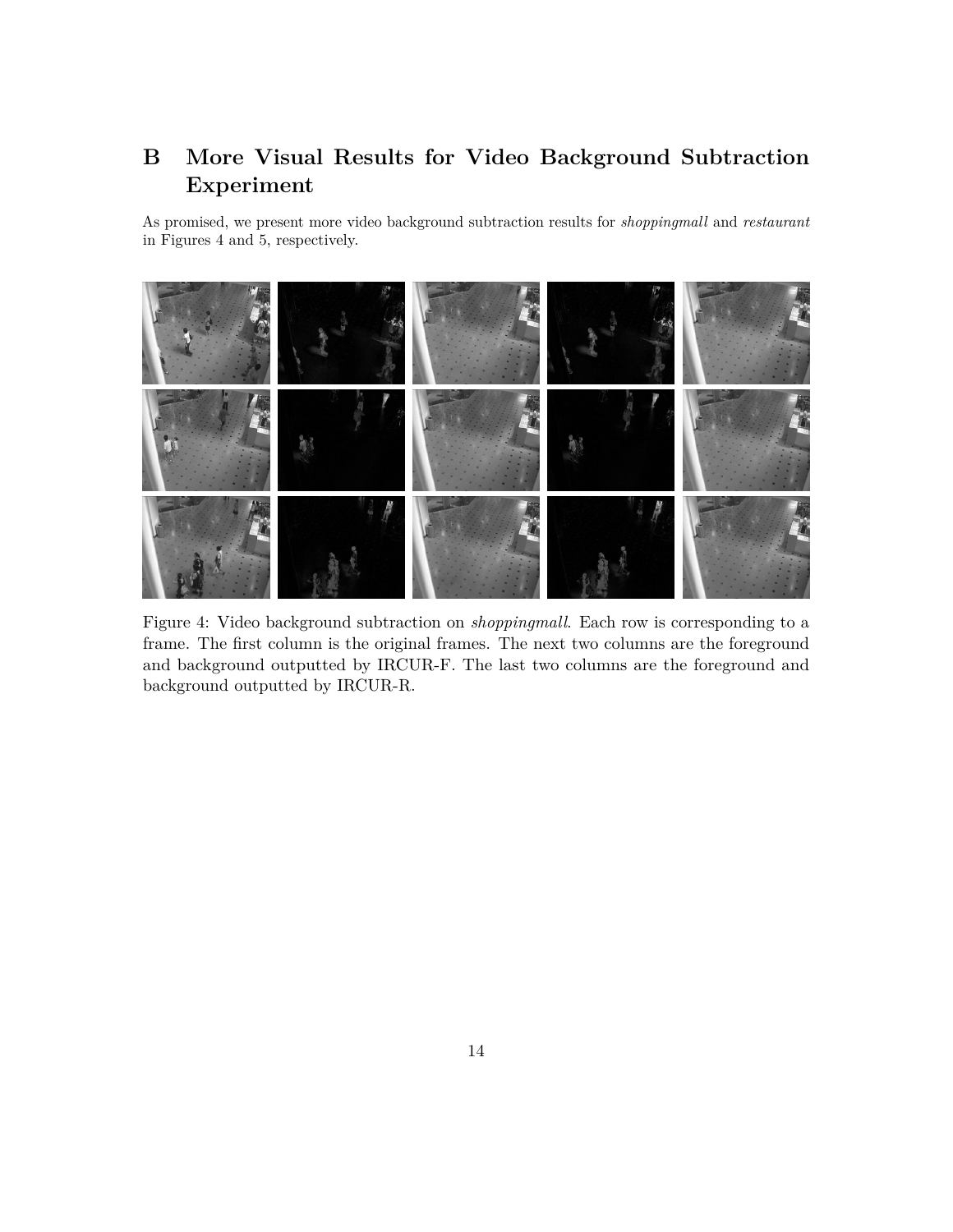## **B More Visual Results for Video Background Subtraction Experiment**

As promised, we present more video background subtraction results for *shoppingmall* and *restaurant* in Figures [4](#page-13-0) and [5,](#page-14-0) respectively.

<span id="page-13-0"></span>

Figure 4: Video background subtraction on *shoppingmall*. Each row is corresponding to a frame. The first column is the original frames. The next two columns are the foreground and background outputted by IRCUR-F. The last two columns are the foreground and background outputted by IRCUR-R.